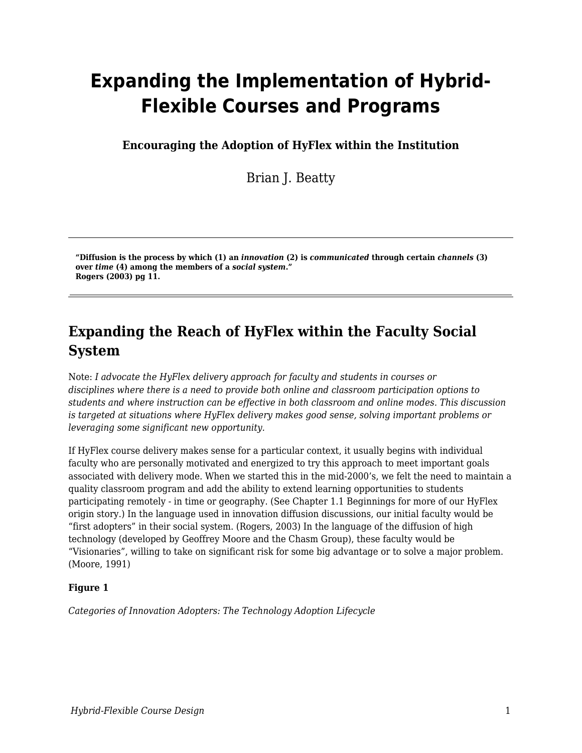# **Expanding the Implementation of Hybrid-Flexible Courses and Programs**

**Encouraging the Adoption of HyFlex within the Institution**

Brian J. Beatty

**"Diffusion is the process by which (1) an** *innovation* **(2) is** *communicated* **through certain** *channels* **(3) over** *time* **(4) among the members of a** *social system***." Rogers (2003) pg 11.**

## **Expanding the Reach of HyFlex within the Faculty Social System**

Note: *I advocate the HyFlex delivery approach for faculty and students in courses or disciplines where there is a need to provide both online and classroom participation options to students and where instruction can be effective in both classroom and online modes. This discussion is targeted at situations where HyFlex delivery makes good sense, solving important problems or leveraging some significant new opportunity.*

If HyFlex course delivery makes sense for a particular context, it usually begins with individual faculty who are personally motivated and energized to try this approach to meet important goals associated with delivery mode. When we started this in the mid-2000's, we felt the need to maintain a quality classroom program and add the ability to extend learning opportunities to students participating remotely - in time or geography. (See Chapter 1.1 Beginnings for more of our HyFlex origin story.) In the language used in innovation diffusion discussions, our initial faculty would be "first adopters" in their social system. (Rogers, 2003) In the language of the diffusion of high technology (developed by Geoffrey Moore and the Chasm Group), these faculty would be "Visionaries", willing to take on significant risk for some big advantage or to solve a major problem. (Moore, 1991)

#### **Figure 1**

*Categories of Innovation Adopters: The Technology Adoption Lifecycle*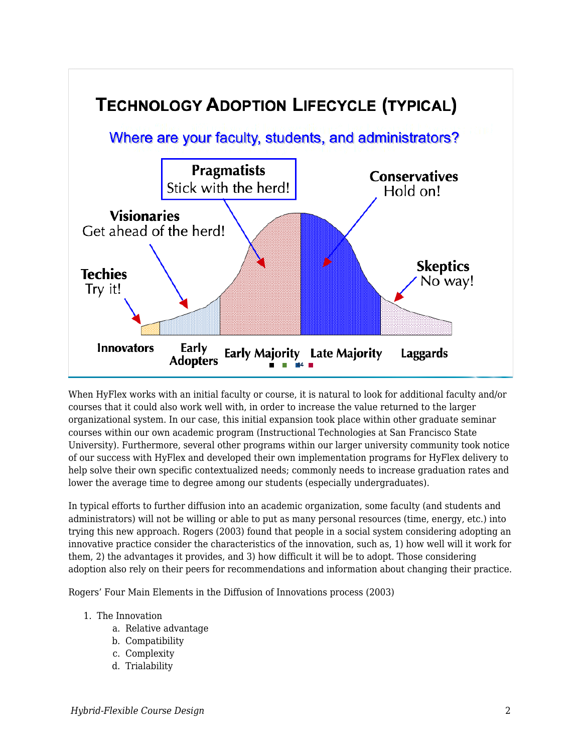

When HyFlex works with an initial faculty or course, it is natural to look for additional faculty and/or courses that it could also work well with, in order to increase the value returned to the larger organizational system. In our case, this initial expansion took place within other graduate seminar courses within our own academic program (Instructional Technologies at San Francisco State University). Furthermore, several other programs within our larger university community took notice of our success with HyFlex and developed their own implementation programs for HyFlex delivery to help solve their own specific contextualized needs; commonly needs to increase graduation rates and lower the average time to degree among our students (especially undergraduates).

In typical efforts to further diffusion into an academic organization, some faculty (and students and administrators) will not be willing or able to put as many personal resources (time, energy, etc.) into trying this new approach. Rogers (2003) found that people in a social system considering adopting an innovative practice consider the characteristics of the innovation, such as, 1) how well will it work for them, 2) the advantages it provides, and 3) how difficult it will be to adopt. Those considering adoption also rely on their peers for recommendations and information about changing their practice.

Rogers' Four Main Elements in the Diffusion of Innovations process (2003)

#### 1. The Innovation

- a. Relative advantage
- b. Compatibility
- c. Complexity
- d. Trialability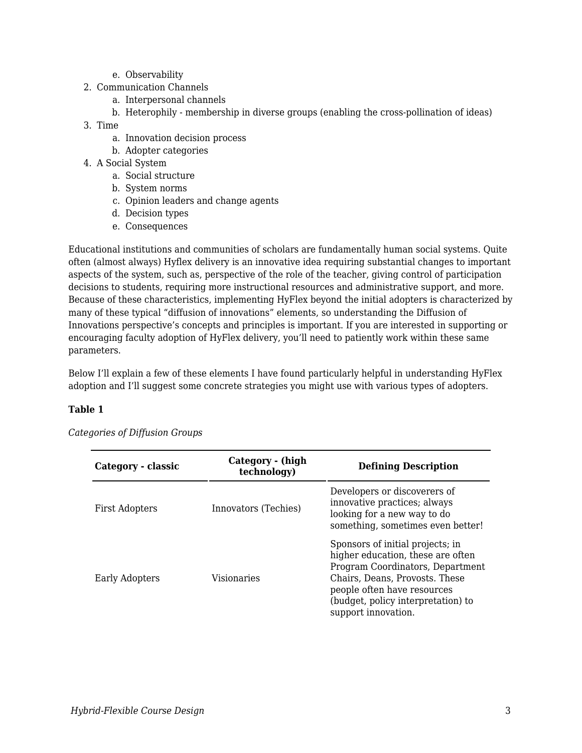- e. Observability
- 2. Communication Channels
	- a. Interpersonal channels
	- b. Heterophily membership in diverse groups (enabling the cross-pollination of ideas)
- 3. Time
	- a. Innovation decision process
	- b. Adopter categories
- 4. A Social System
	- a. Social structure
	- b. System norms
	- c. Opinion leaders and change agents
	- d. Decision types
	- e. Consequences

Educational institutions and communities of scholars are fundamentally human social systems. Quite often (almost always) Hyflex delivery is an innovative idea requiring substantial changes to important aspects of the system, such as, perspective of the role of the teacher, giving control of participation decisions to students, requiring more instructional resources and administrative support, and more. Because of these characteristics, implementing HyFlex beyond the initial adopters is characterized by many of these typical "diffusion of innovations" elements, so understanding the Diffusion of Innovations perspective's concepts and principles is important. If you are interested in supporting or encouraging faculty adoption of HyFlex delivery, you'll need to patiently work within these same parameters.

Below I'll explain a few of these elements I have found particularly helpful in understanding HyFlex adoption and I'll suggest some concrete strategies you might use with various types of adopters.

#### **Table 1**

| Category - classic    | Category - (high<br>technology) | <b>Defining Description</b>                                                                                                                                                                                                             |
|-----------------------|---------------------------------|-----------------------------------------------------------------------------------------------------------------------------------------------------------------------------------------------------------------------------------------|
| <b>First Adopters</b> | Innovators (Techies)            | Developers or discoverers of<br>innovative practices; always<br>looking for a new way to do<br>something, sometimes even better!                                                                                                        |
| <b>Early Adopters</b> | Visionaries                     | Sponsors of initial projects; in<br>higher education, these are often<br>Program Coordinators, Department<br>Chairs, Deans, Provosts. These<br>people often have resources<br>(budget, policy interpretation) to<br>support innovation. |

*Categories of Diffusion Groups*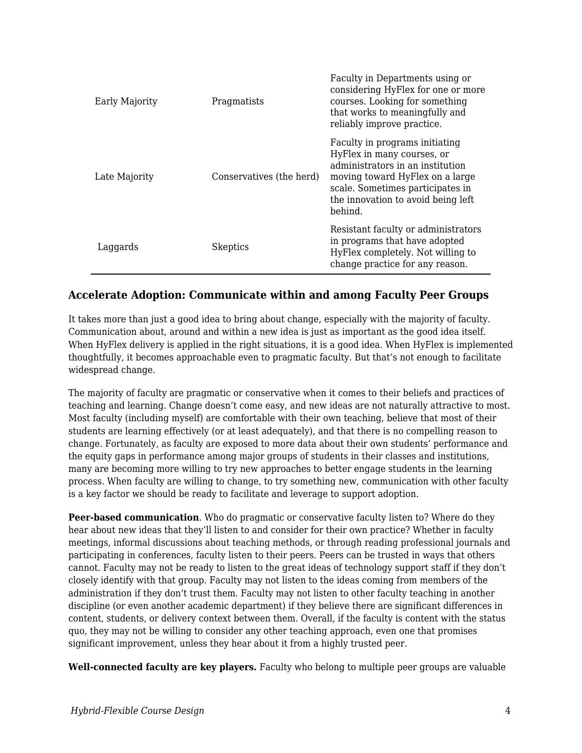| Early Majority | Pragmatists              | Faculty in Departments using or<br>considering HyFlex for one or more<br>courses. Looking for something<br>that works to meaningfully and<br>reliably improve practice.                                                  |
|----------------|--------------------------|--------------------------------------------------------------------------------------------------------------------------------------------------------------------------------------------------------------------------|
| Late Majority  | Conservatives (the herd) | Faculty in programs initiating<br>HyFlex in many courses, or<br>administrators in an institution<br>moving toward HyFlex on a large<br>scale. Sometimes participates in<br>the innovation to avoid being left<br>behind. |
| Laggards       | <b>Skeptics</b>          | Resistant faculty or administrators<br>in programs that have adopted<br>HyFlex completely. Not willing to<br>change practice for any reason.                                                                             |

#### **Accelerate Adoption: Communicate within and among Faculty Peer Groups**

It takes more than just a good idea to bring about change, especially with the majority of faculty. Communication about, around and within a new idea is just as important as the good idea itself. When HyFlex delivery is applied in the right situations, it is a good idea. When HyFlex is implemented thoughtfully, it becomes approachable even to pragmatic faculty. But that's not enough to facilitate widespread change.

The majority of faculty are pragmatic or conservative when it comes to their beliefs and practices of teaching and learning. Change doesn't come easy, and new ideas are not naturally attractive to most. Most faculty (including myself) are comfortable with their own teaching, believe that most of their students are learning effectively (or at least adequately), and that there is no compelling reason to change. Fortunately, as faculty are exposed to more data about their own students' performance and the equity gaps in performance among major groups of students in their classes and institutions, many are becoming more willing to try new approaches to better engage students in the learning process. When faculty are willing to change, to try something new, communication with other faculty is a key factor we should be ready to facilitate and leverage to support adoption.

**Peer-based communication**. Who do pragmatic or conservative faculty listen to? Where do they hear about new ideas that they'll listen to and consider for their own practice? Whether in faculty meetings, informal discussions about teaching methods, or through reading professional journals and participating in conferences, faculty listen to their peers. Peers can be trusted in ways that others cannot. Faculty may not be ready to listen to the great ideas of technology support staff if they don't closely identify with that group. Faculty may not listen to the ideas coming from members of the administration if they don't trust them. Faculty may not listen to other faculty teaching in another discipline (or even another academic department) if they believe there are significant differences in content, students, or delivery context between them. Overall, if the faculty is content with the status quo, they may not be willing to consider any other teaching approach, even one that promises significant improvement, unless they hear about it from a highly trusted peer.

**Well-connected faculty are key players.** Faculty who belong to multiple peer groups are valuable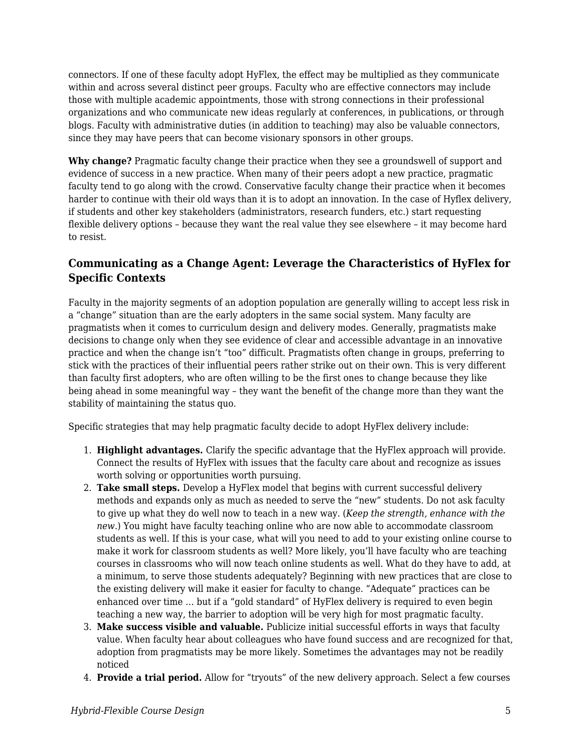connectors. If one of these faculty adopt HyFlex, the effect may be multiplied as they communicate within and across several distinct peer groups. Faculty who are effective connectors may include those with multiple academic appointments, those with strong connections in their professional organizations and who communicate new ideas regularly at conferences, in publications, or through blogs. Faculty with administrative duties (in addition to teaching) may also be valuable connectors, since they may have peers that can become visionary sponsors in other groups.

**Why change?** Pragmatic faculty change their practice when they see a groundswell of support and evidence of success in a new practice. When many of their peers adopt a new practice, pragmatic faculty tend to go along with the crowd. Conservative faculty change their practice when it becomes harder to continue with their old ways than it is to adopt an innovation. In the case of Hyflex delivery, if students and other key stakeholders (administrators, research funders, etc.) start requesting flexible delivery options – because they want the real value they see elsewhere – it may become hard to resist.

#### **Communicating as a Change Agent: Leverage the Characteristics of HyFlex for Specific Contexts**

Faculty in the majority segments of an adoption population are generally willing to accept less risk in a "change" situation than are the early adopters in the same social system. Many faculty are pragmatists when it comes to curriculum design and delivery modes. Generally, pragmatists make decisions to change only when they see evidence of clear and accessible advantage in an innovative practice and when the change isn't "too" difficult. Pragmatists often change in groups, preferring to stick with the practices of their influential peers rather strike out on their own. This is very different than faculty first adopters, who are often willing to be the first ones to change because they like being ahead in some meaningful way – they want the benefit of the change more than they want the stability of maintaining the status quo.

Specific strategies that may help pragmatic faculty decide to adopt HyFlex delivery include:

- 1. **Highlight advantages.** Clarify the specific advantage that the HyFlex approach will provide. Connect the results of HyFlex with issues that the faculty care about and recognize as issues worth solving or opportunities worth pursuing.
- 2. **Take small steps.** Develop a HyFlex model that begins with current successful delivery methods and expands only as much as needed to serve the "new" students. Do not ask faculty to give up what they do well now to teach in a new way. (*Keep the strength, enhance with the new*.) You might have faculty teaching online who are now able to accommodate classroom students as well. If this is your case, what will you need to add to your existing online course to make it work for classroom students as well? More likely, you'll have faculty who are teaching courses in classrooms who will now teach online students as well. What do they have to add, at a minimum, to serve those students adequately? Beginning with new practices that are close to the existing delivery will make it easier for faculty to change. "Adequate" practices can be enhanced over time … but if a "gold standard" of HyFlex delivery is required to even begin teaching a new way, the barrier to adoption will be very high for most pragmatic faculty.
- 3. **Make success visible and valuable.** Publicize initial successful efforts in ways that faculty value. When faculty hear about colleagues who have found success and are recognized for that, adoption from pragmatists may be more likely. Sometimes the advantages may not be readily noticed
- 4. **Provide a trial period.** Allow for "tryouts" of the new delivery approach. Select a few courses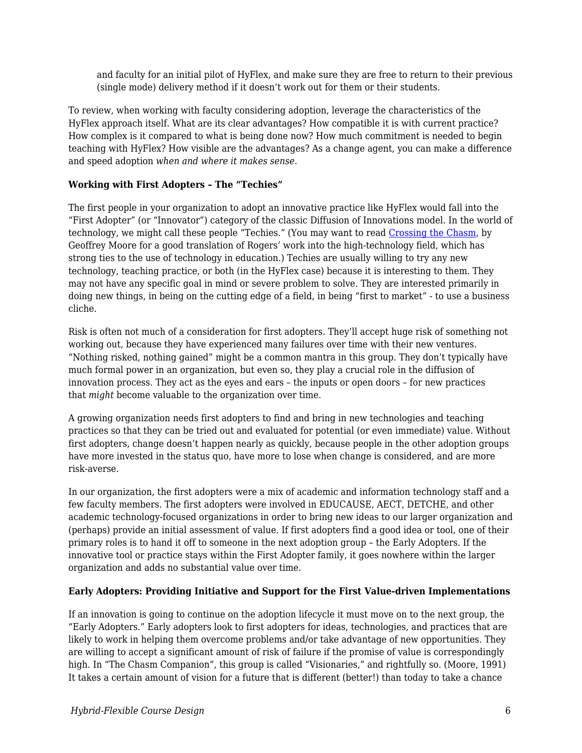and faculty for an initial pilot of HyFlex, and make sure they are free to return to their previous (single mode) delivery method if it doesn't work out for them or their students.

To review, when working with faculty considering adoption, leverage the characteristics of the HyFlex approach itself. What are its clear advantages? How compatible it is with current practice? How complex is it compared to what is being done now? How much commitment is needed to begin teaching with HyFlex? How visible are the advantages? As a change agent, you can make a difference and speed adoption *when and where it makes sense*.

#### **Working with First Adopters – The "Techies"**

The first people in your organization to adopt an innovative practice like HyFlex would fall into the "First Adopter" (or "Innovator") category of the classic Diffusion of Innovations model. In the world of technology, we might call these people "Techies." (You may want to read [Crossing the Chasm,](http://en.wikipedia.org/wiki/Crossing_the_Chasm) by Geoffrey Moore for a good translation of Rogers' work into the high-technology field, which has strong ties to the use of technology in education.) Techies are usually willing to try any new technology, teaching practice, or both (in the HyFlex case) because it is interesting to them. They may not have any specific goal in mind or severe problem to solve. They are interested primarily in doing new things, in being on the cutting edge of a field, in being "first to market" - to use a business cliche.

Risk is often not much of a consideration for first adopters. They'll accept huge risk of something not working out, because they have experienced many failures over time with their new ventures. "Nothing risked, nothing gained" might be a common mantra in this group. They don't typically have much formal power in an organization, but even so, they play a crucial role in the diffusion of innovation process. They act as the eyes and ears – the inputs or open doors – for new practices that *might* become valuable to the organization over time.

A growing organization needs first adopters to find and bring in new technologies and teaching practices so that they can be tried out and evaluated for potential (or even immediate) value. Without first adopters, change doesn't happen nearly as quickly, because people in the other adoption groups have more invested in the status quo, have more to lose when change is considered, and are more risk-averse.

In our organization, the first adopters were a mix of academic and information technology staff and a few faculty members. The first adopters were involved in EDUCAUSE, AECT, DETCHE, and other academic technology-focused organizations in order to bring new ideas to our larger organization and (perhaps) provide an initial assessment of value. If first adopters find a good idea or tool, one of their primary roles is to hand it off to someone in the next adoption group – the Early Adopters. If the innovative tool or practice stays within the First Adopter family, it goes nowhere within the larger organization and adds no substantial value over time.

#### **Early Adopters: Providing Initiative and Support for the First Value-driven Implementations**

If an innovation is going to continue on the adoption lifecycle it must move on to the next group, the "Early Adopters." Early adopters look to first adopters for ideas, technologies, and practices that are likely to work in helping them overcome problems and/or take advantage of new opportunities. They are willing to accept a significant amount of risk of failure if the promise of value is correspondingly high. In "The Chasm Companion", this group is called "Visionaries," and rightfully so. (Moore, 1991) It takes a certain amount of vision for a future that is different (better!) than today to take a chance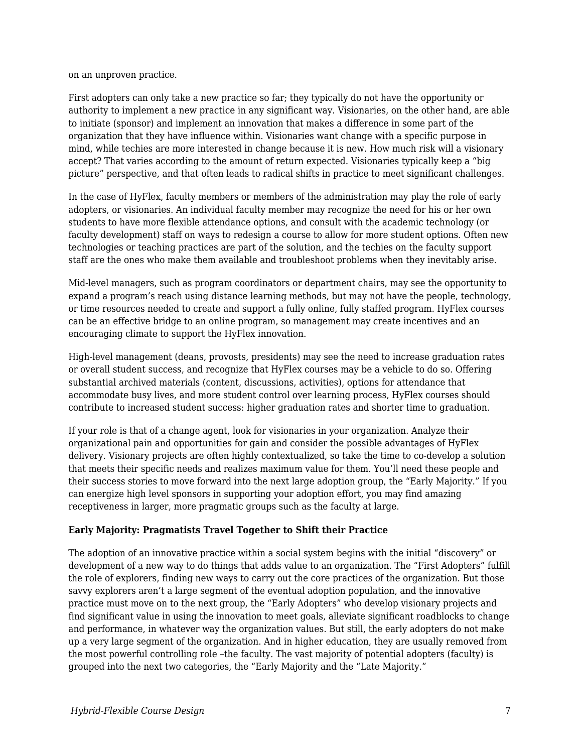on an unproven practice.

First adopters can only take a new practice so far; they typically do not have the opportunity or authority to implement a new practice in any significant way. Visionaries, on the other hand, are able to initiate (sponsor) and implement an innovation that makes a difference in some part of the organization that they have influence within. Visionaries want change with a specific purpose in mind, while techies are more interested in change because it is new. How much risk will a visionary accept? That varies according to the amount of return expected. Visionaries typically keep a "big picture" perspective, and that often leads to radical shifts in practice to meet significant challenges.

In the case of HyFlex, faculty members or members of the administration may play the role of early adopters, or visionaries. An individual faculty member may recognize the need for his or her own students to have more flexible attendance options, and consult with the academic technology (or faculty development) staff on ways to redesign a course to allow for more student options. Often new technologies or teaching practices are part of the solution, and the techies on the faculty support staff are the ones who make them available and troubleshoot problems when they inevitably arise.

Mid-level managers, such as program coordinators or department chairs, may see the opportunity to expand a program's reach using distance learning methods, but may not have the people, technology, or time resources needed to create and support a fully online, fully staffed program. HyFlex courses can be an effective bridge to an online program, so management may create incentives and an encouraging climate to support the HyFlex innovation.

High-level management (deans, provosts, presidents) may see the need to increase graduation rates or overall student success, and recognize that HyFlex courses may be a vehicle to do so. Offering substantial archived materials (content, discussions, activities), options for attendance that accommodate busy lives, and more student control over learning process, HyFlex courses should contribute to increased student success: higher graduation rates and shorter time to graduation.

If your role is that of a change agent, look for visionaries in your organization. Analyze their organizational pain and opportunities for gain and consider the possible advantages of HyFlex delivery. Visionary projects are often highly contextualized, so take the time to co-develop a solution that meets their specific needs and realizes maximum value for them. You'll need these people and their success stories to move forward into the next large adoption group, the "Early Majority." If you can energize high level sponsors in supporting your adoption effort, you may find amazing receptiveness in larger, more pragmatic groups such as the faculty at large.

#### **Early Majority: Pragmatists Travel Together to Shift their Practice**

The adoption of an innovative practice within a social system begins with the initial "discovery" or development of a new way to do things that adds value to an organization. The "First Adopters" fulfill the role of explorers, finding new ways to carry out the core practices of the organization. But those savvy explorers aren't a large segment of the eventual adoption population, and the innovative practice must move on to the next group, the "Early Adopters" who develop visionary projects and find significant value in using the innovation to meet goals, alleviate significant roadblocks to change and performance, in whatever way the organization values. But still, the early adopters do not make up a very large segment of the organization. And in higher education, they are usually removed from the most powerful controlling role –the faculty. The vast majority of potential adopters (faculty) is grouped into the next two categories, the "Early Majority and the "Late Majority."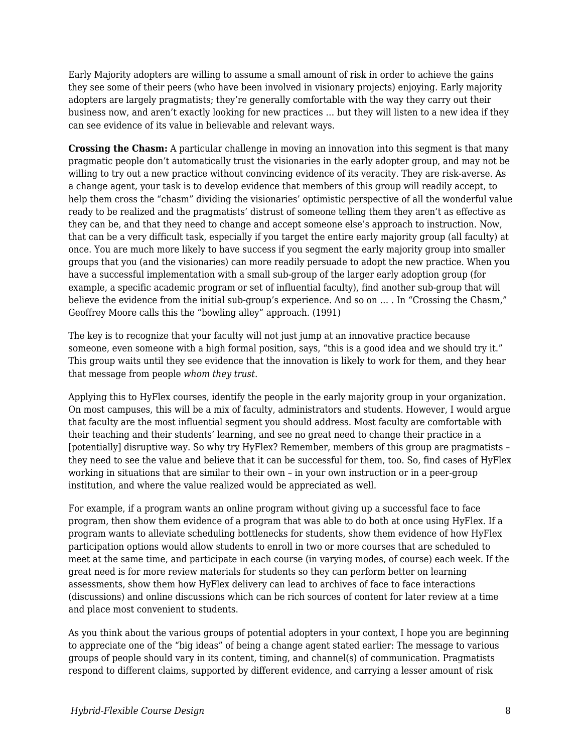Early Majority adopters are willing to assume a small amount of risk in order to achieve the gains they see some of their peers (who have been involved in visionary projects) enjoying. Early majority adopters are largely pragmatists; they're generally comfortable with the way they carry out their business now, and aren't exactly looking for new practices … but they will listen to a new idea if they can see evidence of its value in believable and relevant ways.

**Crossing the Chasm:** A particular challenge in moving an innovation into this segment is that many pragmatic people don't automatically trust the visionaries in the early adopter group, and may not be willing to try out a new practice without convincing evidence of its veracity. They are risk-averse. As a change agent, your task is to develop evidence that members of this group will readily accept, to help them cross the "chasm" dividing the visionaries' optimistic perspective of all the wonderful value ready to be realized and the pragmatists' distrust of someone telling them they aren't as effective as they can be, and that they need to change and accept someone else's approach to instruction. Now, that can be a very difficult task, especially if you target the entire early majority group (all faculty) at once. You are much more likely to have success if you segment the early majority group into smaller groups that you (and the visionaries) can more readily persuade to adopt the new practice. When you have a successful implementation with a small sub-group of the larger early adoption group (for example, a specific academic program or set of influential faculty), find another sub-group that will believe the evidence from the initial sub-group's experience. And so on … . In "Crossing the Chasm," Geoffrey Moore calls this the "bowling alley" approach. (1991)

The key is to recognize that your faculty will not just jump at an innovative practice because someone, even someone with a high formal position, says, "this is a good idea and we should try it." This group waits until they see evidence that the innovation is likely to work for them, and they hear that message from people *whom they trust*.

Applying this to HyFlex courses, identify the people in the early majority group in your organization. On most campuses, this will be a mix of faculty, administrators and students. However, I would argue that faculty are the most influential segment you should address. Most faculty are comfortable with their teaching and their students' learning, and see no great need to change their practice in a [potentially] disruptive way. So why try HyFlex? Remember, members of this group are pragmatists – they need to see the value and believe that it can be successful for them, too. So, find cases of HyFlex working in situations that are similar to their own – in your own instruction or in a peer-group institution, and where the value realized would be appreciated as well.

For example, if a program wants an online program without giving up a successful face to face program, then show them evidence of a program that was able to do both at once using HyFlex. If a program wants to alleviate scheduling bottlenecks for students, show them evidence of how HyFlex participation options would allow students to enroll in two or more courses that are scheduled to meet at the same time, and participate in each course (in varying modes, of course) each week. If the great need is for more review materials for students so they can perform better on learning assessments, show them how HyFlex delivery can lead to archives of face to face interactions (discussions) and online discussions which can be rich sources of content for later review at a time and place most convenient to students.

As you think about the various groups of potential adopters in your context, I hope you are beginning to appreciate one of the "big ideas" of being a change agent stated earlier: The message to various groups of people should vary in its content, timing, and channel(s) of communication. Pragmatists respond to different claims, supported by different evidence, and carrying a lesser amount of risk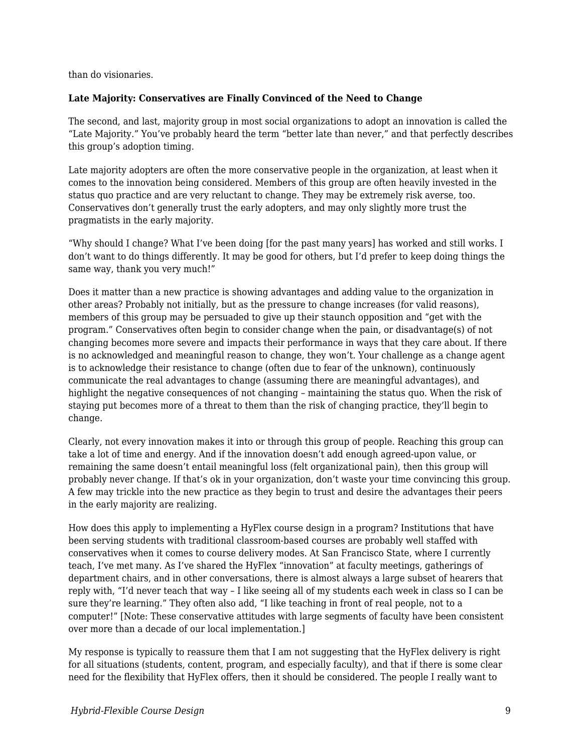than do visionaries.

#### **Late Majority: Conservatives are Finally Convinced of the Need to Change**

The second, and last, majority group in most social organizations to adopt an innovation is called the "Late Majority." You've probably heard the term "better late than never," and that perfectly describes this group's adoption timing.

Late majority adopters are often the more conservative people in the organization, at least when it comes to the innovation being considered. Members of this group are often heavily invested in the status quo practice and are very reluctant to change. They may be extremely risk averse, too. Conservatives don't generally trust the early adopters, and may only slightly more trust the pragmatists in the early majority.

"Why should I change? What I've been doing [for the past many years] has worked and still works. I don't want to do things differently. It may be good for others, but I'd prefer to keep doing things the same way, thank you very much!"

Does it matter than a new practice is showing advantages and adding value to the organization in other areas? Probably not initially, but as the pressure to change increases (for valid reasons), members of this group may be persuaded to give up their staunch opposition and "get with the program." Conservatives often begin to consider change when the pain, or disadvantage(s) of not changing becomes more severe and impacts their performance in ways that they care about. If there is no acknowledged and meaningful reason to change, they won't. Your challenge as a change agent is to acknowledge their resistance to change (often due to fear of the unknown), continuously communicate the real advantages to change (assuming there are meaningful advantages), and highlight the negative consequences of not changing – maintaining the status quo. When the risk of staying put becomes more of a threat to them than the risk of changing practice, they'll begin to change.

Clearly, not every innovation makes it into or through this group of people. Reaching this group can take a lot of time and energy. And if the innovation doesn't add enough agreed-upon value, or remaining the same doesn't entail meaningful loss (felt organizational pain), then this group will probably never change. If that's ok in your organization, don't waste your time convincing this group. A few may trickle into the new practice as they begin to trust and desire the advantages their peers in the early majority are realizing.

How does this apply to implementing a HyFlex course design in a program? Institutions that have been serving students with traditional classroom-based courses are probably well staffed with conservatives when it comes to course delivery modes. At San Francisco State, where I currently teach, I've met many. As I've shared the HyFlex "innovation" at faculty meetings, gatherings of department chairs, and in other conversations, there is almost always a large subset of hearers that reply with, "I'd never teach that way – I like seeing all of my students each week in class so I can be sure they're learning." They often also add, "I like teaching in front of real people, not to a computer!" [Note: These conservative attitudes with large segments of faculty have been consistent over more than a decade of our local implementation.]

My response is typically to reassure them that I am not suggesting that the HyFlex delivery is right for all situations (students, content, program, and especially faculty), and that if there is some clear need for the flexibility that HyFlex offers, then it should be considered. The people I really want to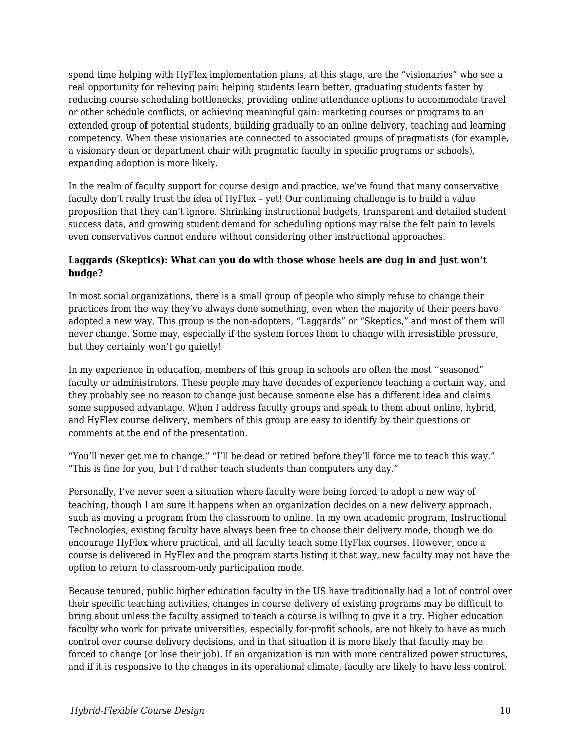spend time helping with HyFlex implementation plans, at this stage, are the "visionaries" who see a real opportunity for relieving pain: helping students learn better, graduating students faster by reducing course scheduling bottlenecks, providing online attendance options to accommodate travel or other schedule conflicts, or achieving meaningful gain: marketing courses or programs to an extended group of potential students, building gradually to an online delivery, teaching and learning competency. When these visionaries are connected to associated groups of pragmatists (for example, a visionary dean or department chair with pragmatic faculty in specific programs or schools), expanding adoption is more likely.

In the realm of faculty support for course design and practice, we've found that many conservative faculty don't really trust the idea of HyFlex – yet! Our continuing challenge is to build a value proposition that they can't ignore. Shrinking instructional budgets, transparent and detailed student success data, and growing student demand for scheduling options may raise the felt pain to levels even conservatives cannot endure without considering other instructional approaches.

#### **Laggards (Skeptics): What can you do with those whose heels are dug in and just won't budge?**

In most social organizations, there is a small group of people who simply refuse to change their practices from the way they've always done something, even when the majority of their peers have adopted a new way. This group is the non-adopters, "Laggards" or "Skeptics," and most of them will never change. Some may, especially if the system forces them to change with irresistible pressure, but they certainly won't go quietly!

In my experience in education, members of this group in schools are often the most "seasoned" faculty or administrators. These people may have decades of experience teaching a certain way, and they probably see no reason to change just because someone else has a different idea and claims some supposed advantage. When I address faculty groups and speak to them about online, hybrid, and HyFlex course delivery, members of this group are easy to identify by their questions or comments at the end of the presentation.

"You'll never get me to change." "I'll be dead or retired before they'll force me to teach this way." "This is fine for you, but I'd rather teach students than computers any day."

Personally, I've never seen a situation where faculty were being forced to adopt a new way of teaching, though I am sure it happens when an organization decides on a new delivery approach, such as moving a program from the classroom to online. In my own academic program, Instructional Technologies, existing faculty have always been free to choose their delivery mode, though we do encourage HyFlex where practical, and all faculty teach some HyFlex courses. However, once a course is delivered in HyFlex and the program starts listing it that way, new faculty may not have the option to return to classroom-only participation mode.

Because tenured, public higher education faculty in the US have traditionally had a lot of control over their specific teaching activities, changes in course delivery of existing programs may be difficult to bring about unless the faculty assigned to teach a course is willing to give it a try. Higher education faculty who work for private universities, especially for-profit schools, are not likely to have as much control over course delivery decisions, and in that situation it is more likely that faculty may be forced to change (or lose their job). If an organization is run with more centralized power structures, and if it is responsive to the changes in its operational climate, faculty are likely to have less control.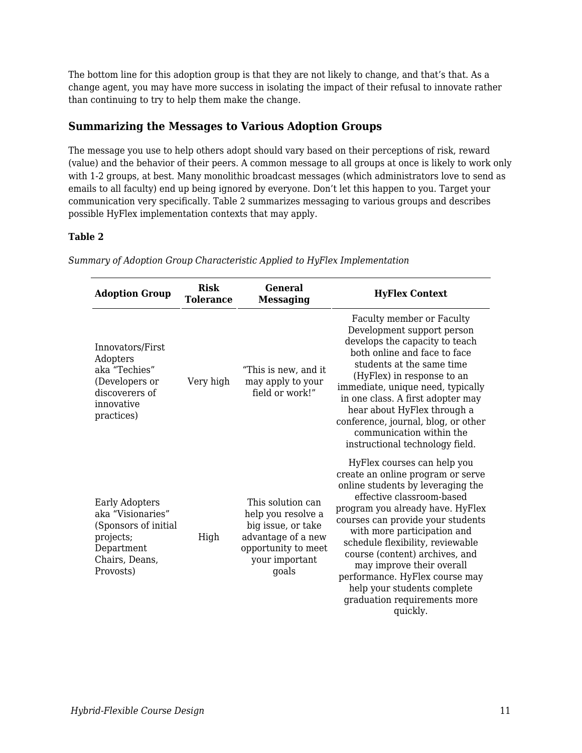The bottom line for this adoption group is that they are not likely to change, and that's that. As a change agent, you may have more success in isolating the impact of their refusal to innovate rather than continuing to try to help them make the change.

#### **Summarizing the Messages to Various Adoption Groups**

The message you use to help others adopt should vary based on their perceptions of risk, reward (value) and the behavior of their peers. A common message to all groups at once is likely to work only with 1-2 groups, at best. Many monolithic broadcast messages (which administrators love to send as emails to all faculty) end up being ignored by everyone. Don't let this happen to you. Target your communication very specifically. Table 2 summarizes messaging to various groups and describes possible HyFlex implementation contexts that may apply.

#### **Table 2**

| <b>Adoption Group</b>                                                                                                 | <b>Risk</b><br><b>Tolerance</b> | General<br><b>Messaging</b>                                                                                                           | <b>HyFlex Context</b>                                                                                                                                                                                                                                                                                                                                                                                                                                      |
|-----------------------------------------------------------------------------------------------------------------------|---------------------------------|---------------------------------------------------------------------------------------------------------------------------------------|------------------------------------------------------------------------------------------------------------------------------------------------------------------------------------------------------------------------------------------------------------------------------------------------------------------------------------------------------------------------------------------------------------------------------------------------------------|
| Innovators/First<br>Adopters<br>aka "Techies"<br>(Developers or<br>discoverers of<br>innovative<br>practices)         | Very high                       | "This is new, and it<br>may apply to your<br>field or work!"                                                                          | Faculty member or Faculty<br>Development support person<br>develops the capacity to teach<br>both online and face to face<br>students at the same time<br>(HyFlex) in response to an<br>immediate, unique need, typically<br>in one class. A first adopter may<br>hear about HyFlex through a<br>conference, journal, blog, or other<br>communication within the<br>instructional technology field.                                                        |
| Early Adopters<br>aka "Visionaries"<br>(Sponsors of initial<br>projects;<br>Department<br>Chairs, Deans,<br>Provosts) | High                            | This solution can<br>help you resolve a<br>big issue, or take<br>advantage of a new<br>opportunity to meet<br>your important<br>goals | HyFlex courses can help you<br>create an online program or serve<br>online students by leveraging the<br>effective classroom-based<br>program you already have. HyFlex<br>courses can provide your students<br>with more participation and<br>schedule flexibility, reviewable<br>course (content) archives, and<br>may improve their overall<br>performance. HyFlex course may<br>help your students complete<br>graduation requirements more<br>quickly. |

*Summary of Adoption Group Characteristic Applied to HyFlex Implementation*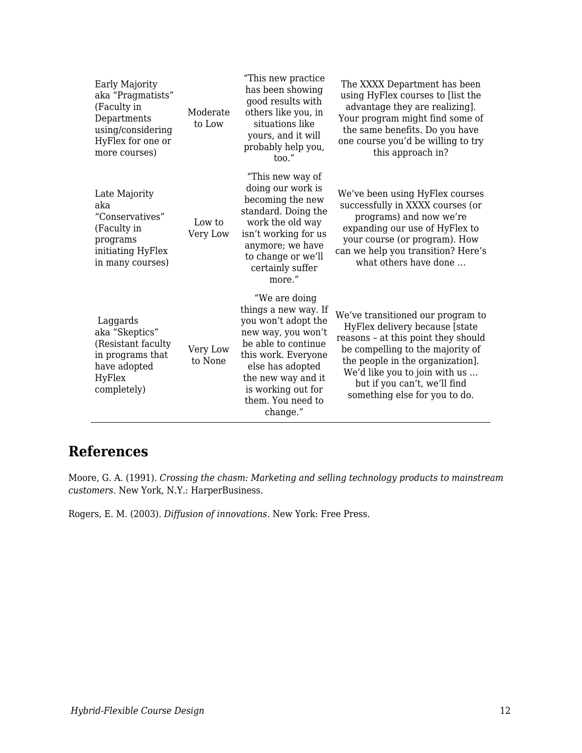| Early Majority<br>aka "Pragmatists"<br>(Faculty in<br>Departments<br>using/considering<br>HyFlex for one or<br>more courses) | Moderate<br>to Low  | "This new practice"<br>has been showing<br>good results with<br>others like you, in<br>situations like<br>yours, and it will<br>probably help you,<br>too."                                                                       | The XXXX Department has been<br>using HyFlex courses to [list the<br>advantage they are realizing].<br>Your program might find some of<br>the same benefits. Do you have<br>one course you'd be willing to try<br>this approach in?                                                  |
|------------------------------------------------------------------------------------------------------------------------------|---------------------|-----------------------------------------------------------------------------------------------------------------------------------------------------------------------------------------------------------------------------------|--------------------------------------------------------------------------------------------------------------------------------------------------------------------------------------------------------------------------------------------------------------------------------------|
| Late Majority<br>aka<br>"Conservatives"<br>(Faculty in<br>programs<br>initiating HyFlex<br>in many courses)                  | Low to<br>Very Low  | "This new way of<br>doing our work is<br>becoming the new<br>standard. Doing the<br>work the old way<br>isn't working for us<br>anymore; we have<br>to change or we'll<br>certainly suffer<br>more."                              | We've been using HyFlex courses<br>successfully in XXXX courses (or<br>programs) and now we're<br>expanding our use of HyFlex to<br>your course (or program). How<br>can we help you transition? Here's<br>what others have done                                                     |
| Laggards<br>aka "Skeptics"<br>(Resistant faculty<br>in programs that<br>have adopted<br>HyFlex<br>completely)                | Very Low<br>to None | "We are doing<br>things a new way. If<br>you won't adopt the<br>new way, you won't<br>be able to continue<br>this work. Everyone<br>else has adopted<br>the new way and it<br>is working out for<br>them. You need to<br>change." | We've transitioned our program to<br>HyFlex delivery because [state<br>reasons - at this point they should<br>be compelling to the majority of<br>the people in the organization].<br>We'd like you to join with us<br>but if you can't, we'll find<br>something else for you to do. |

### **References**

Moore, G. A. (1991). *Crossing the chasm: Marketing and selling technology products to mainstream customers*. New York, N.Y.: HarperBusiness.

Rogers, E. M. (2003). *Diffusion of innovations*. New York: Free Press.